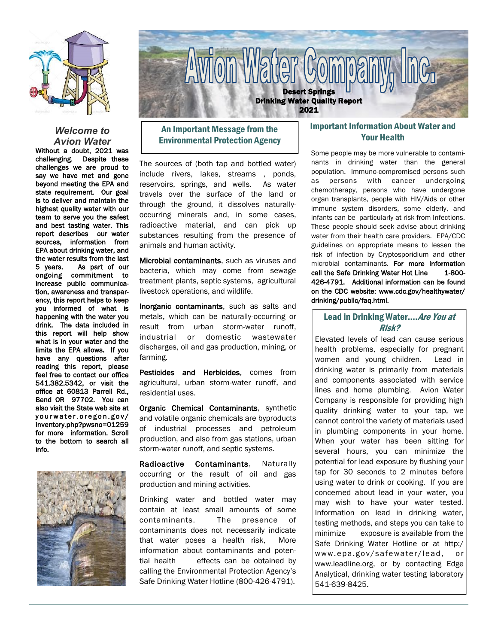

#### *Welcome to Avion Water*

Without a doubt, 2021 was challenging. Despite these challenges we are proud to say we have met and gone beyond meeting the EPA and state requirement. Our goal is to deliver and maintain the highest quality water with our team to serve you the safest and best tasting water. This report describes our water sources, information from EPA about drinking water, and the water results from the last 5 years. As part of our ongoing commitment to increase public communication, awareness and transparency, this report helps to keep you informed of what is happening with the water you drink. The data included in this report will help show what is in your water and the limits the EPA allows. If you have any questions after reading this report, please feel free to contact our office 541.382.5342, or visit the office at 60813 Parrell Rd., Bend OR 97702. You can also visit the State web site at yourwater.oregon.gov/ inventory.php?pwsno=01259 for more information. Scroll to the bottom to search all info.





# An Important Message from the Environmental Protection Agency

The sources of (both tap and bottled water) include rivers, lakes, streams , ponds, reservoirs, springs, and wells. As water travels over the surface of the land or through the ground, it dissolves naturallyoccurring minerals and, in some cases, radioactive material, and can pick up substances resulting from the presence of animals and human activity.

Microbial contaminants, such as viruses and bacteria, which may come from sewage treatment plants, septic systems, agricultural livestock operations, and wildlife.

Inorganic contaminants, such as salts and metals, which can be naturally-occurring or result from urban storm-water runoff, industrial or domestic wastewater discharges, oil and gas production, mining, or farming.

Pesticides and Herbicides, comes from agricultural, urban storm-water runoff, and residential uses.

Organic Chemical Contaminants, synthetic and volatile organic chemicals are byproducts of industrial processes and petroleum production, and also from gas stations, urban storm-water runoff, and septic systems.

Radioactive Contaminants, Naturally occurring or the result of oil and gas production and mining activities.

Drinking water and bottled water may contain at least small amounts of some contaminants. The presence of contaminants does not necessarily indicate that water poses a health risk, More information about contaminants and potential health effects can be obtained by calling the Environmental Protection Agency's Safe Drinking Water Hotline (800-426-4791).

## Important Information About Water and Your Health

Some people may be more vulnerable to contaminants in drinking water than the general population. Immuno-compromised persons such as persons with cancer undergoing chemotherapy, persons who have undergone organ transplants, people with HIV/Aids or other immune system disorders, some elderly, and infants can be particularly at risk from Infections. These people should seek advise about drinking water from their health care providers. EPA/CDC guidelines on appropriate means to lessen the risk of infection by Cryptosporidium and other microbial contaminants. For more information call the Safe Drinking Water Hot Line 1-800-426-4791. Additional information can be found on the CDC website: www.cdc.gov/healthywater/ drinking/public/faq.html.

## Lead in Drinking Water.... Are You at Risk?

Elevated levels of lead can cause serious health problems, especially for pregnant women and young children. Lead in drinking water is primarily from materials and components associated with service lines and home plumbing. Avion Water Company is responsible for providing high quality drinking water to your tap, we cannot control the variety of materials used in plumbing components in your home. When your water has been sitting for several hours, you can minimize the potential for lead exposure by flushing your tap for 30 seconds to 2 minutes before using water to drink or cooking. If you are concerned about lead in your water, you may wish to have your water tested. Information on lead in drinking water, testing methods, and steps you can take to minimize exposure is available from the Safe Drinking Water Hotline or at http:/ www.epa.gov/safewater/lead, or www.leadline.org, or by contacting Edge Analytical, drinking water testing laboratory 541-639-8425.